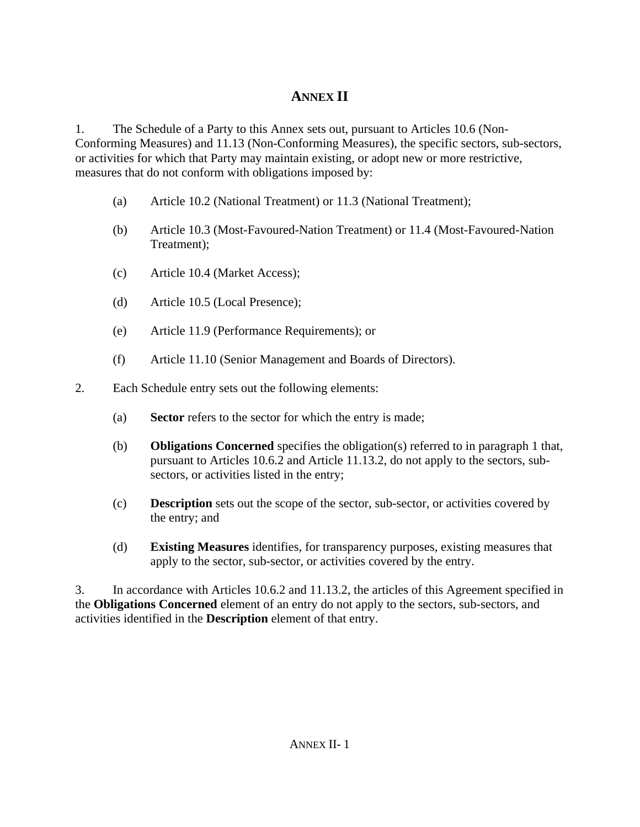## **ANNEX II**

1. The Schedule of a Party to this Annex sets out, pursuant to Articles 10.6 (Non-Conforming Measures) and 11.13 (Non-Conforming Measures), the specific sectors, sub-sectors, or activities for which that Party may maintain existing, or adopt new or more restrictive, measures that do not conform with obligations imposed by:

- (a) Article 10.2 (National Treatment) or 11.3 (National Treatment);
- (b) Article 10.3 (Most-Favoured-Nation Treatment) or 11.4 (Most-Favoured-Nation Treatment);
- (c) Article 10.4 (Market Access);
- (d) Article 10.5 (Local Presence);
- (e) Article 11.9 (Performance Requirements); or
- (f) Article 11.10 (Senior Management and Boards of Directors).
- 2. Each Schedule entry sets out the following elements:
	- (a) **Sector** refers to the sector for which the entry is made;
	- (b) **Obligations Concerned** specifies the obligation(s) referred to in paragraph 1 that, pursuant to Articles 10.6.2 and Article 11.13.2, do not apply to the sectors, subsectors, or activities listed in the entry;
	- (c) **Description** sets out the scope of the sector, sub-sector, or activities covered by the entry; and
	- (d) **Existing Measures** identifies, for transparency purposes, existing measures that apply to the sector, sub-sector, or activities covered by the entry.

3. In accordance with Articles 10.6.2 and 11.13.2, the articles of this Agreement specified in the **Obligations Concerned** element of an entry do not apply to the sectors, sub-sectors, and activities identified in the **Description** element of that entry.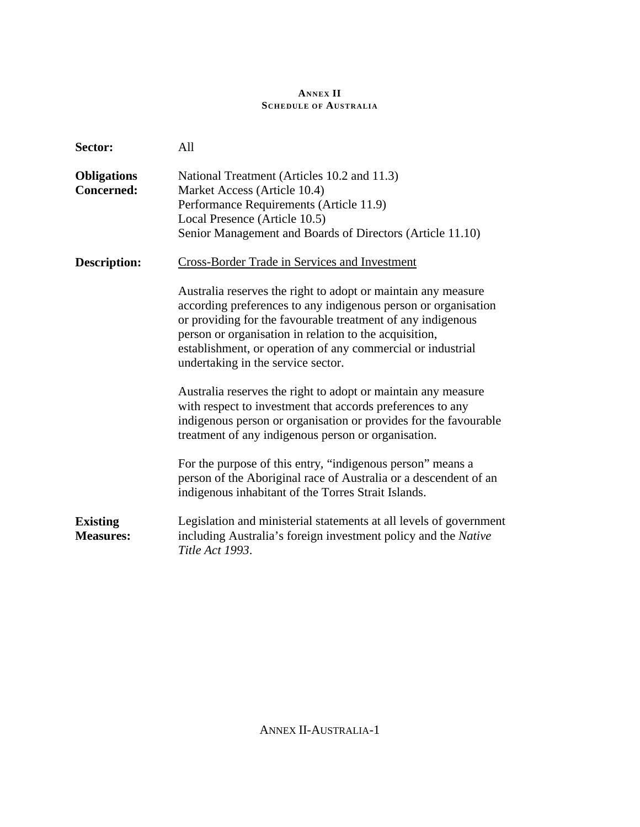## **ANNEX II SCHEDULE OF AUSTRALIA**

| Sector:                                 | All                                                                                                                                                                                                                                                                                                                                                           |
|-----------------------------------------|---------------------------------------------------------------------------------------------------------------------------------------------------------------------------------------------------------------------------------------------------------------------------------------------------------------------------------------------------------------|
| <b>Obligations</b><br><b>Concerned:</b> | National Treatment (Articles 10.2 and 11.3)<br>Market Access (Article 10.4)<br>Performance Requirements (Article 11.9)<br>Local Presence (Article 10.5)<br>Senior Management and Boards of Directors (Article 11.10)                                                                                                                                          |
| <b>Description:</b>                     | <b>Cross-Border Trade in Services and Investment</b>                                                                                                                                                                                                                                                                                                          |
|                                         | Australia reserves the right to adopt or maintain any measure<br>according preferences to any indigenous person or organisation<br>or providing for the favourable treatment of any indigenous<br>person or organisation in relation to the acquisition,<br>establishment, or operation of any commercial or industrial<br>undertaking in the service sector. |
|                                         | Australia reserves the right to adopt or maintain any measure<br>with respect to investment that accords preferences to any<br>indigenous person or organisation or provides for the favourable<br>treatment of any indigenous person or organisation.                                                                                                        |
|                                         | For the purpose of this entry, "indigenous person" means a<br>person of the Aboriginal race of Australia or a descendent of an<br>indigenous inhabitant of the Torres Strait Islands.                                                                                                                                                                         |
| <b>Existing</b><br><b>Measures:</b>     | Legislation and ministerial statements at all levels of government<br>including Australia's foreign investment policy and the Native<br>Title Act 1993.                                                                                                                                                                                                       |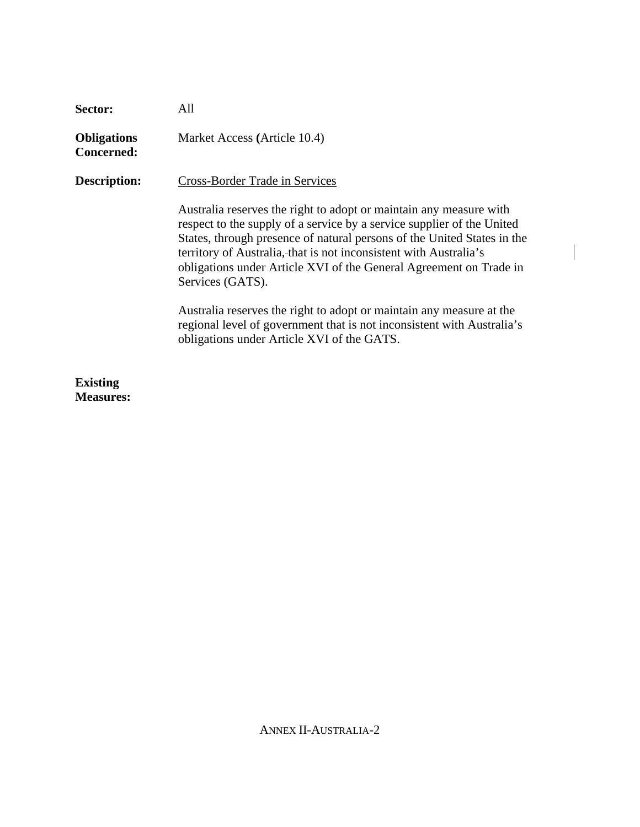| Sector:                                 | All                                                                                                                                                                                                                                                                                                                                                                                    |
|-----------------------------------------|----------------------------------------------------------------------------------------------------------------------------------------------------------------------------------------------------------------------------------------------------------------------------------------------------------------------------------------------------------------------------------------|
| <b>Obligations</b><br><b>Concerned:</b> | Market Access (Article 10.4)                                                                                                                                                                                                                                                                                                                                                           |
| <b>Description:</b>                     | <b>Cross-Border Trade in Services</b>                                                                                                                                                                                                                                                                                                                                                  |
|                                         | Australia reserves the right to adopt or maintain any measure with<br>respect to the supply of a service by a service supplier of the United<br>States, through presence of natural persons of the United States in the<br>territory of Australia,-that is not inconsistent with Australia's<br>obligations under Article XVI of the General Agreement on Trade in<br>Services (GATS). |
|                                         | Australia reserves the right to adopt or maintain any measure at the<br>regional level of government that is not inconsistent with Australia's<br>obligations under Article XVI of the GATS.                                                                                                                                                                                           |
|                                         |                                                                                                                                                                                                                                                                                                                                                                                        |

 $\overline{\phantom{a}}$ 

**Existing Measures:**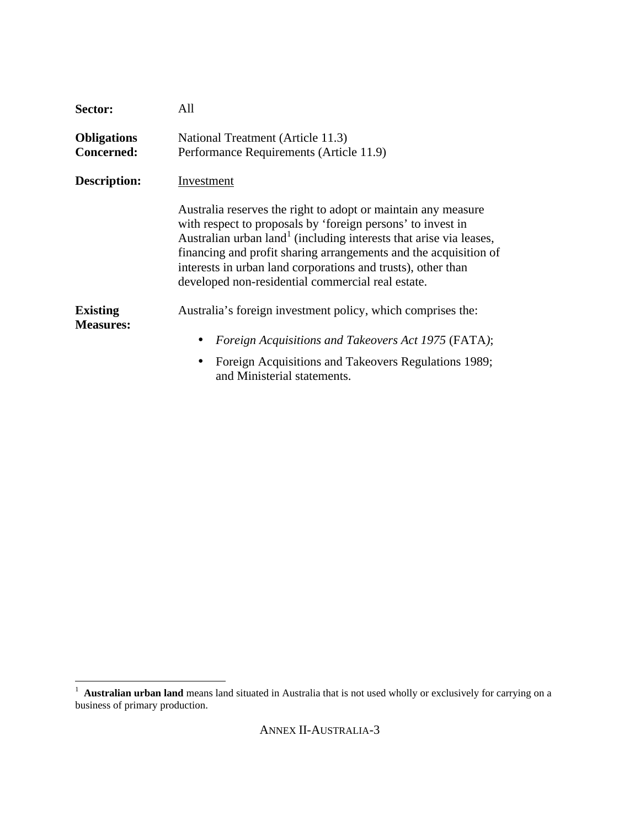| Sector:                                 | All                                                                                                                                                                                                                                                                                                                                                                                                     |
|-----------------------------------------|---------------------------------------------------------------------------------------------------------------------------------------------------------------------------------------------------------------------------------------------------------------------------------------------------------------------------------------------------------------------------------------------------------|
| <b>Obligations</b><br><b>Concerned:</b> | National Treatment (Article 11.3)<br>Performance Requirements (Article 11.9)                                                                                                                                                                                                                                                                                                                            |
| <b>Description:</b>                     | Investment                                                                                                                                                                                                                                                                                                                                                                                              |
|                                         | Australia reserves the right to adopt or maintain any measure<br>with respect to proposals by 'foreign persons' to invest in<br>Australian urban land <sup>1</sup> (including interests that arise via leases,<br>financing and profit sharing arrangements and the acquisition of<br>interests in urban land corporations and trusts), other than<br>developed non-residential commercial real estate. |
| <b>Existing</b><br><b>Measures:</b>     | Australia's foreign investment policy, which comprises the:                                                                                                                                                                                                                                                                                                                                             |
|                                         | Foreign Acquisitions and Takeovers Act 1975 (FATA);<br>$\bullet$                                                                                                                                                                                                                                                                                                                                        |
|                                         | Foreign Acquisitions and Takeovers Regulations 1989;                                                                                                                                                                                                                                                                                                                                                    |

and Ministerial statements.

<sup>&</sup>lt;sup>1</sup> **Australian urban land** means land situated in Australia that is not used wholly or exclusively for carrying on a business of primary production.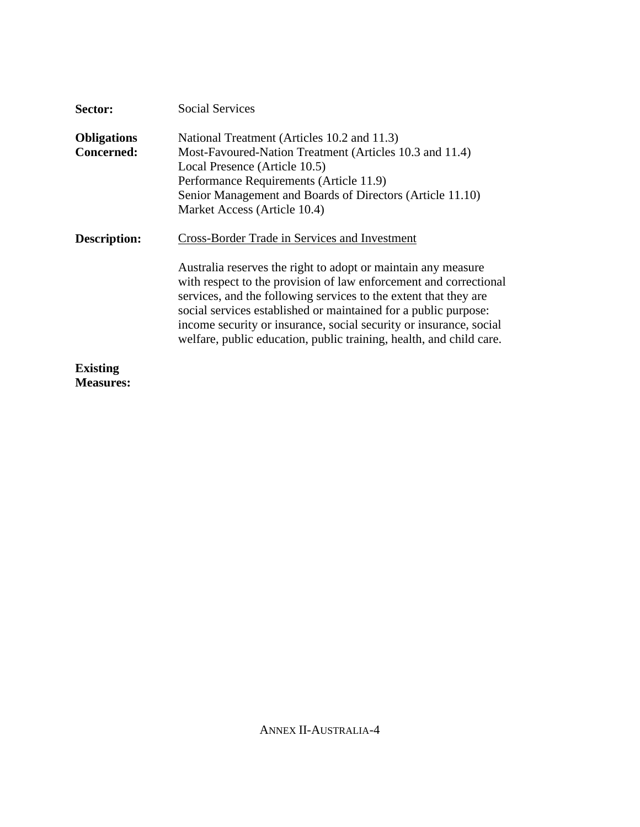| Sector:             | Social Services                                                                                                                                                                                                                                                                                                                                                                                                        |
|---------------------|------------------------------------------------------------------------------------------------------------------------------------------------------------------------------------------------------------------------------------------------------------------------------------------------------------------------------------------------------------------------------------------------------------------------|
| <b>Obligations</b>  | National Treatment (Articles 10.2 and 11.3)                                                                                                                                                                                                                                                                                                                                                                            |
| <b>Concerned:</b>   | Most-Favoured-Nation Treatment (Articles 10.3 and 11.4)<br>Local Presence (Article 10.5)<br>Performance Requirements (Article 11.9)<br>Senior Management and Boards of Directors (Article 11.10)<br>Market Access (Article 10.4)                                                                                                                                                                                       |
| <b>Description:</b> | Cross-Border Trade in Services and Investment                                                                                                                                                                                                                                                                                                                                                                          |
|                     | Australia reserves the right to adopt or maintain any measure<br>with respect to the provision of law enforcement and correctional<br>services, and the following services to the extent that they are<br>social services established or maintained for a public purpose:<br>income security or insurance, social security or insurance, social<br>welfare, public education, public training, health, and child care. |
| <b>Existing</b>     |                                                                                                                                                                                                                                                                                                                                                                                                                        |

**Measures:**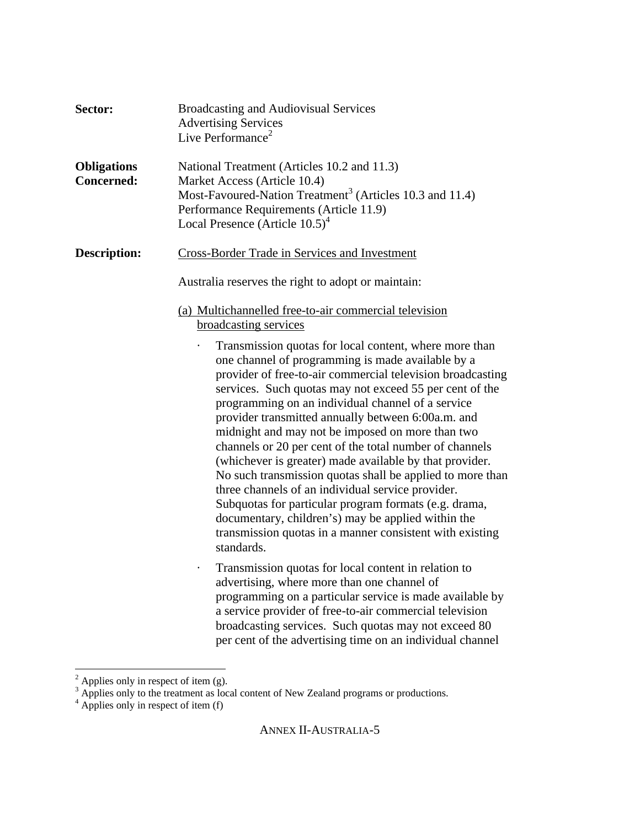| Sector:                                 | <b>Broadcasting and Audiovisual Services</b><br><b>Advertising Services</b><br>Live Performance <sup>2</sup>                                                                                                                                                                                                                                                                                                                                                                                                                                                                                                                                                                                                                                                                                                                                                  |
|-----------------------------------------|---------------------------------------------------------------------------------------------------------------------------------------------------------------------------------------------------------------------------------------------------------------------------------------------------------------------------------------------------------------------------------------------------------------------------------------------------------------------------------------------------------------------------------------------------------------------------------------------------------------------------------------------------------------------------------------------------------------------------------------------------------------------------------------------------------------------------------------------------------------|
| <b>Obligations</b><br><b>Concerned:</b> | National Treatment (Articles 10.2 and 11.3)<br>Market Access (Article 10.4)<br>Most-Favoured-Nation Treatment <sup>3</sup> (Articles 10.3 and 11.4)<br>Performance Requirements (Article 11.9)<br>Local Presence (Article $10.5$ ) <sup>4</sup>                                                                                                                                                                                                                                                                                                                                                                                                                                                                                                                                                                                                               |
| <b>Description:</b>                     | <b>Cross-Border Trade in Services and Investment</b><br>Australia reserves the right to adopt or maintain:<br>(a) Multichannelled free-to-air commercial television                                                                                                                                                                                                                                                                                                                                                                                                                                                                                                                                                                                                                                                                                           |
|                                         | broadcasting services<br>Transmission quotas for local content, where more than<br>one channel of programming is made available by a<br>provider of free-to-air commercial television broadcasting<br>services. Such quotas may not exceed 55 per cent of the<br>programming on an individual channel of a service<br>provider transmitted annually between 6:00a.m. and<br>midnight and may not be imposed on more than two<br>channels or 20 per cent of the total number of channels<br>(whichever is greater) made available by that provider.<br>No such transmission quotas shall be applied to more than<br>three channels of an individual service provider.<br>Subquotas for particular program formats (e.g. drama,<br>documentary, children's) may be applied within the<br>transmission quotas in a manner consistent with existing<br>standards. |
|                                         | Transmission quotas for local content in relation to<br>advertising, where more than one channel of<br>programming on a particular service is made available by<br>a service provider of free-to-air commercial television<br>broadcasting services. Such quotas may not exceed 80<br>per cent of the advertising time on an individual channel                                                                                                                                                                                                                                                                                                                                                                                                                                                                                                               |

 $\frac{1}{2}$  Applies only in respect of item (g).<br>  $\frac{1}{2}$  Applies only to the treatment as local content of New Zealand programs or productions.<br>  $\frac{1}{2}$  Applies only in respect of item (f)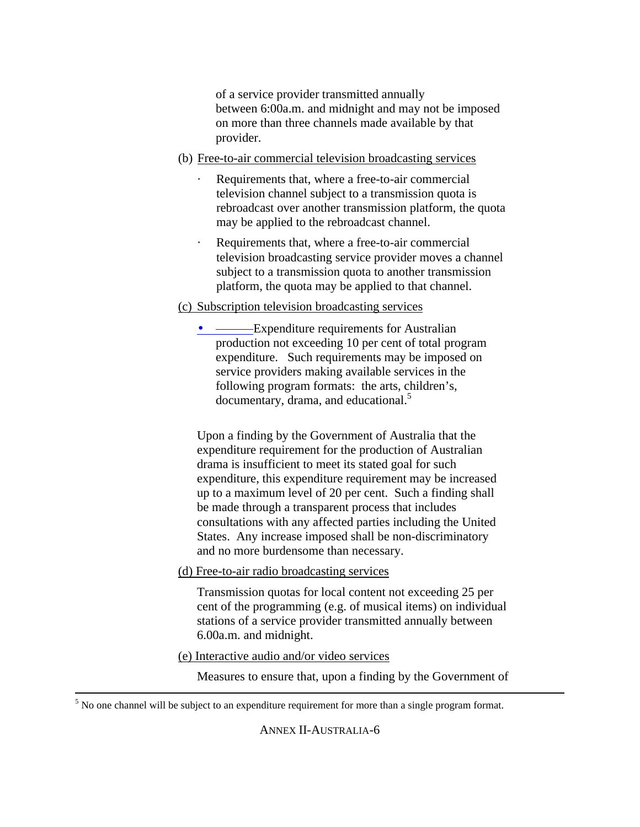of a service provider transmitted annually between 6:00a.m. and midnight and may not be imposed on more than three channels made available by that provider.

- (b) Free-to-air commercial television broadcasting services
	- · Requirements that, where a free-to-air commercial television channel subject to a transmission quota is rebroadcast over another transmission platform, the quota may be applied to the rebroadcast channel.
	- Requirements that, where a free-to-air commercial television broadcasting service provider moves a channel subject to a transmission quota to another transmission platform, the quota may be applied to that channel.

## (c) Subscription television broadcasting services

• ———Expenditure requirements for Australian production not exceeding 10 per cent of total program expenditure. Such requirements may be imposed on service providers making available services in the following program formats: the arts, children's, documentary, drama, and educational.<sup>5</sup>

Upon a finding by the Government of Australia that the expenditure requirement for the production of Australian drama is insufficient to meet its stated goal for such expenditure, this expenditure requirement may be increased up to a maximum level of 20 per cent. Such a finding shall be made through a transparent process that includes consultations with any affected parties including the United States. Any increase imposed shall be non-discriminatory and no more burdensome than necessary.

(d) Free-to-air radio broadcasting services

Transmission quotas for local content not exceeding 25 per cent of the programming (e.g. of musical items) on individual stations of a service provider transmitted annually between 6.00a.m. and midnight.

(e) Interactive audio and/or video services

 $\overline{a}$ 

Measures to ensure that, upon a finding by the Government of

 $<sup>5</sup>$  No one channel will be subject to an expenditure requirement for more than a single program format.</sup>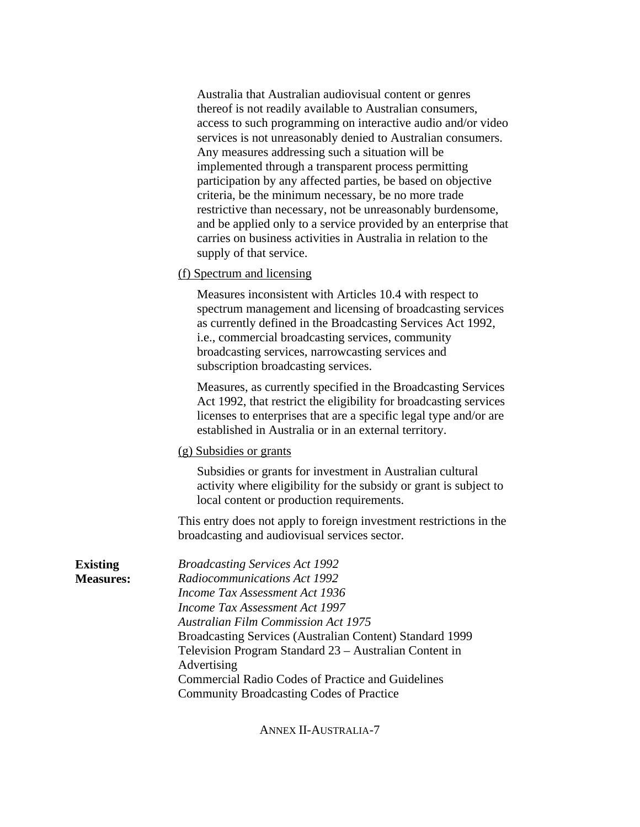Australia that Australian audiovisual content or genres thereof is not readily available to Australian consumers, access to such programming on interactive audio and/or video services is not unreasonably denied to Australian consumers. Any measures addressing such a situation will be implemented through a transparent process permitting participation by any affected parties, be based on objective criteria, be the minimum necessary, be no more trade restrictive than necessary, not be unreasonably burdensome, and be applied only to a service provided by an enterprise that carries on business activities in Australia in relation to the supply of that service.

(f) Spectrum and licensing

Measures inconsistent with Articles 10.4 with respect to spectrum management and licensing of broadcasting services as currently defined in the Broadcasting Services Act 1992, i.e., commercial broadcasting services, community broadcasting services, narrowcasting services and subscription broadcasting services.

Measures, as currently specified in the Broadcasting Services Act 1992, that restrict the eligibility for broadcasting services licenses to enterprises that are a specific legal type and/or are established in Australia or in an external territory.

(g) Subsidies or grants

Subsidies or grants for investment in Australian cultural activity where eligibility for the subsidy or grant is subject to local content or production requirements.

This entry does not apply to foreign investment restrictions in the broadcasting and audiovisual services sector.

**Existing Measures:** *Broadcasting Services Act 1992 Radiocommunications Act 1992 Income Tax Assessment Act 1936 Income Tax Assessment Act 1997 Australian Film Commission Act 1975* Broadcasting Services (Australian Content) Standard 1999 Television Program Standard 23 – Australian Content in Advertising Commercial Radio Codes of Practice and Guidelines Community Broadcasting Codes of Practice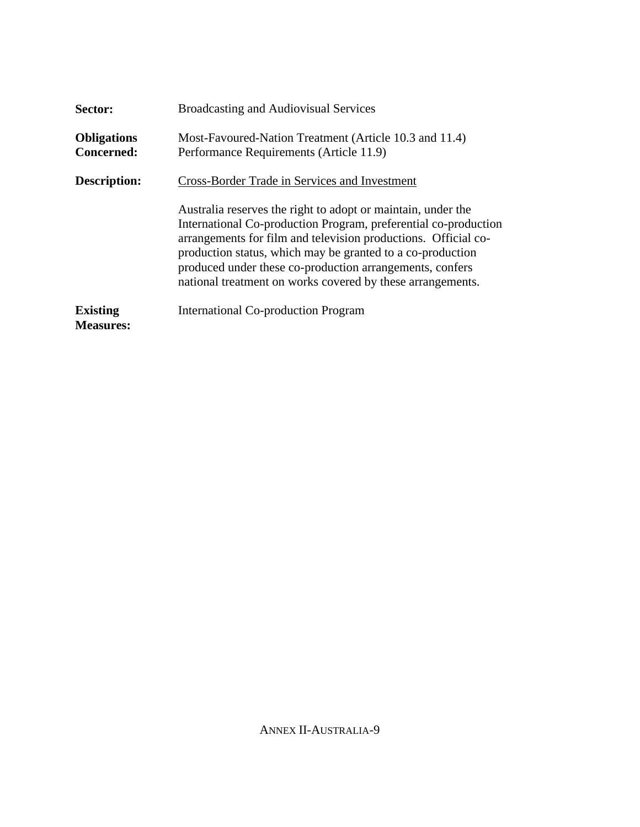| Sector:                                 | <b>Broadcasting and Audiovisual Services</b>                                                                                                                                                                                                                                                                                                                                              |
|-----------------------------------------|-------------------------------------------------------------------------------------------------------------------------------------------------------------------------------------------------------------------------------------------------------------------------------------------------------------------------------------------------------------------------------------------|
| <b>Obligations</b><br><b>Concerned:</b> | Most-Favoured-Nation Treatment (Article 10.3 and 11.4)<br>Performance Requirements (Article 11.9)                                                                                                                                                                                                                                                                                         |
| <b>Description:</b>                     | Cross-Border Trade in Services and Investment                                                                                                                                                                                                                                                                                                                                             |
|                                         | Australia reserves the right to adopt or maintain, under the<br>International Co-production Program, preferential co-production<br>arrangements for film and television productions. Official co-<br>production status, which may be granted to a co-production<br>produced under these co-production arrangements, confers<br>national treatment on works covered by these arrangements. |
| <b>Existing</b><br><b>Measures:</b>     | <b>International Co-production Program</b>                                                                                                                                                                                                                                                                                                                                                |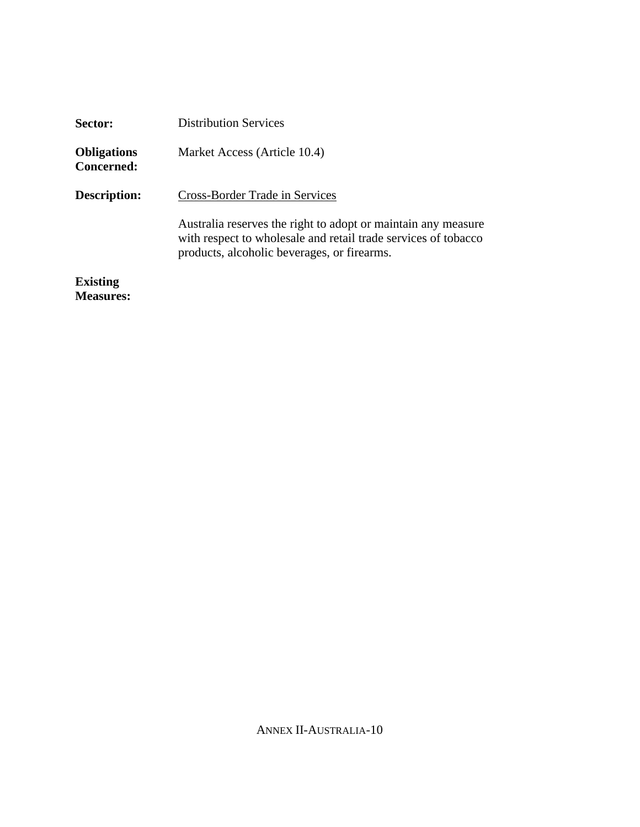| Sector:                          | <b>Distribution Services</b>                                                                                                                                                   |
|----------------------------------|--------------------------------------------------------------------------------------------------------------------------------------------------------------------------------|
| <b>Obligations</b><br>Concerned: | Market Access (Article 10.4)                                                                                                                                                   |
| Description:                     | Cross-Border Trade in Services                                                                                                                                                 |
|                                  | Australia reserves the right to adopt or maintain any measure<br>with respect to wholesale and retail trade services of tobacco<br>products, alcoholic beverages, or firearms. |
| <b>Existing</b>                  |                                                                                                                                                                                |
| <b>Measures:</b>                 |                                                                                                                                                                                |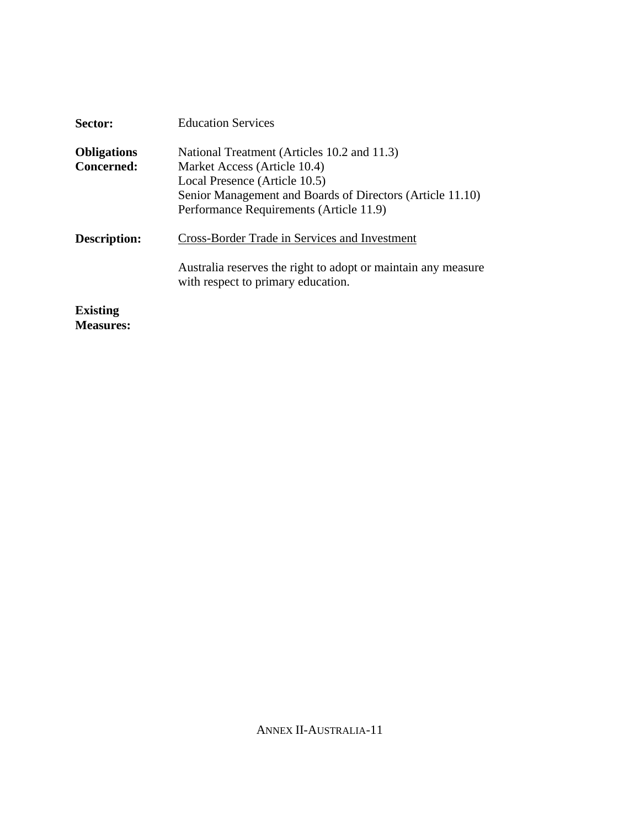| Sector:            | <b>Education Services</b>                                                                           |
|--------------------|-----------------------------------------------------------------------------------------------------|
| <b>Obligations</b> | National Treatment (Articles 10.2 and 11.3)                                                         |
| <b>Concerned:</b>  | Market Access (Article 10.4)<br>Local Presence (Article 10.5)                                       |
|                    | Senior Management and Boards of Directors (Article 11.10)                                           |
|                    | Performance Requirements (Article 11.9)                                                             |
| Description:       | Cross-Border Trade in Services and Investment                                                       |
|                    | Australia reserves the right to adopt or maintain any measure<br>with respect to primary education. |
| <b>Existing</b>    |                                                                                                     |

**Measures:**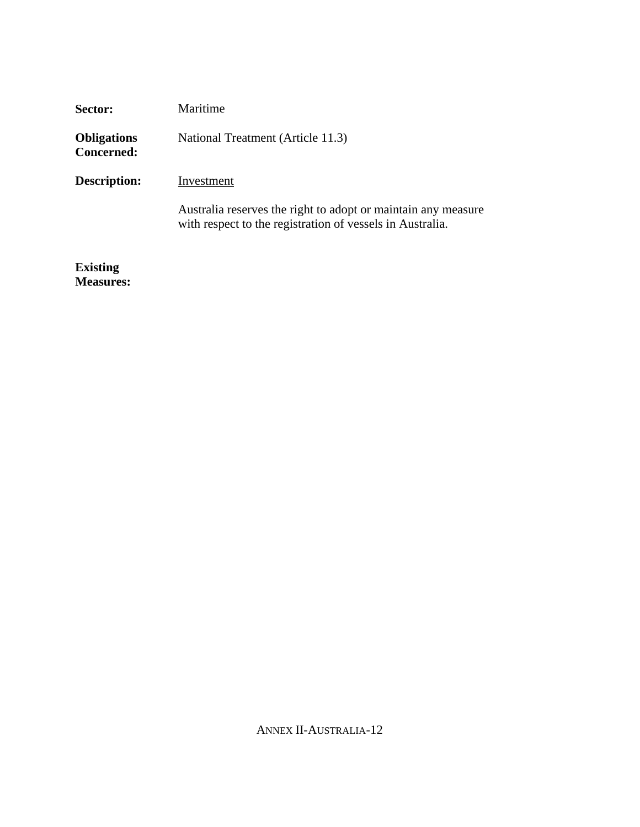| Sector:                                 | Maritime                                                                                                                   |
|-----------------------------------------|----------------------------------------------------------------------------------------------------------------------------|
| <b>Obligations</b><br><b>Concerned:</b> | National Treatment (Article 11.3)                                                                                          |
| <b>Description:</b>                     | Investment                                                                                                                 |
|                                         | Australia reserves the right to adopt or maintain any measure<br>with respect to the registration of vessels in Australia. |
| $E = 1.4$                               |                                                                                                                            |

**Existing Measures:**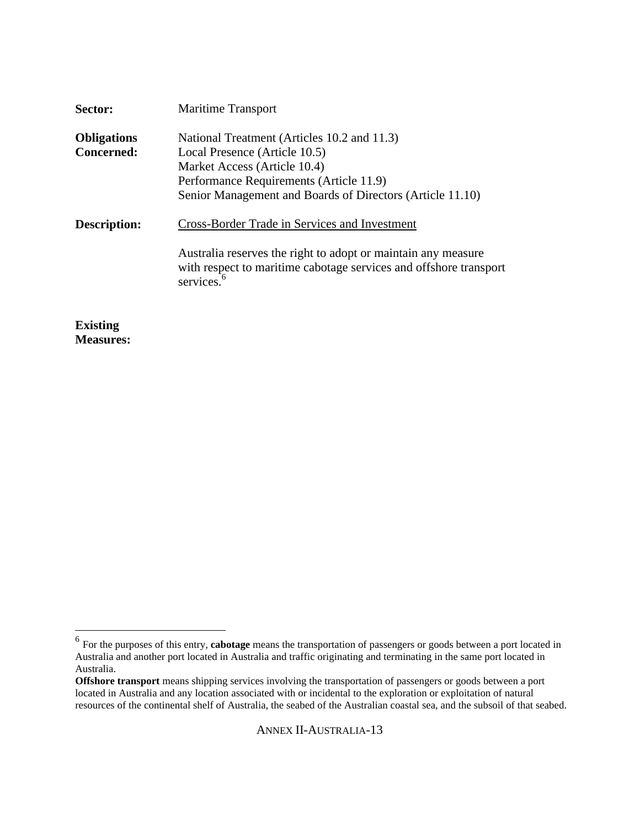| Sector:            | <b>Maritime Transport</b>                                                                                                                                    |
|--------------------|--------------------------------------------------------------------------------------------------------------------------------------------------------------|
| <b>Obligations</b> | National Treatment (Articles 10.2 and 11.3)                                                                                                                  |
| <b>Concerned:</b>  | Local Presence (Article 10.5)                                                                                                                                |
|                    | Market Access (Article 10.4)                                                                                                                                 |
|                    | Performance Requirements (Article 11.9)                                                                                                                      |
|                    | Senior Management and Boards of Directors (Article 11.10)                                                                                                    |
| Description:       | Cross-Border Trade in Services and Investment                                                                                                                |
|                    | Australia reserves the right to adopt or maintain any measure<br>with respect to maritime cabotage services and offshore transport<br>services. <sup>6</sup> |
|                    |                                                                                                                                                              |

**Existing Measures:**

 6 For the purposes of this entry, **cabotage** means the transportation of passengers or goods between a port located in Australia and another port located in Australia and traffic originating and terminating in the same port located in Australia.

**Offshore transport** means shipping services involving the transportation of passengers or goods between a port located in Australia and any location associated with or incidental to the exploration or exploitation of natural resources of the continental shelf of Australia, the seabed of the Australian coastal sea, and the subsoil of that seabed.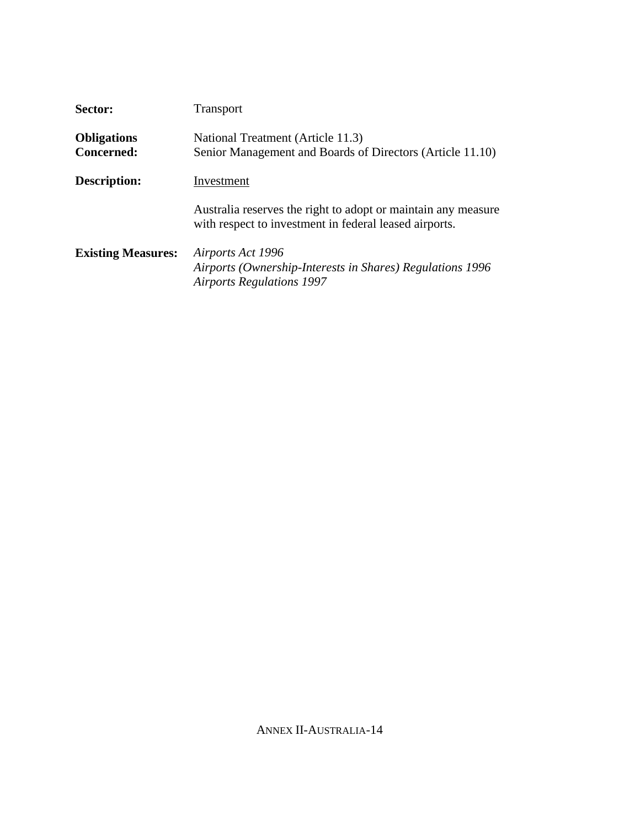| Sector:                                 | Transport                                                                                                               |
|-----------------------------------------|-------------------------------------------------------------------------------------------------------------------------|
| <b>Obligations</b><br><b>Concerned:</b> | National Treatment (Article 11.3)<br>Senior Management and Boards of Directors (Article 11.10)                          |
| <b>Description:</b>                     | Investment                                                                                                              |
|                                         | Australia reserves the right to adopt or maintain any measure<br>with respect to investment in federal leased airports. |
| <b>Existing Measures:</b>               | Airports Act 1996<br>Airports (Ownership-Interests in Shares) Regulations 1996<br><b>Airports Regulations 1997</b>      |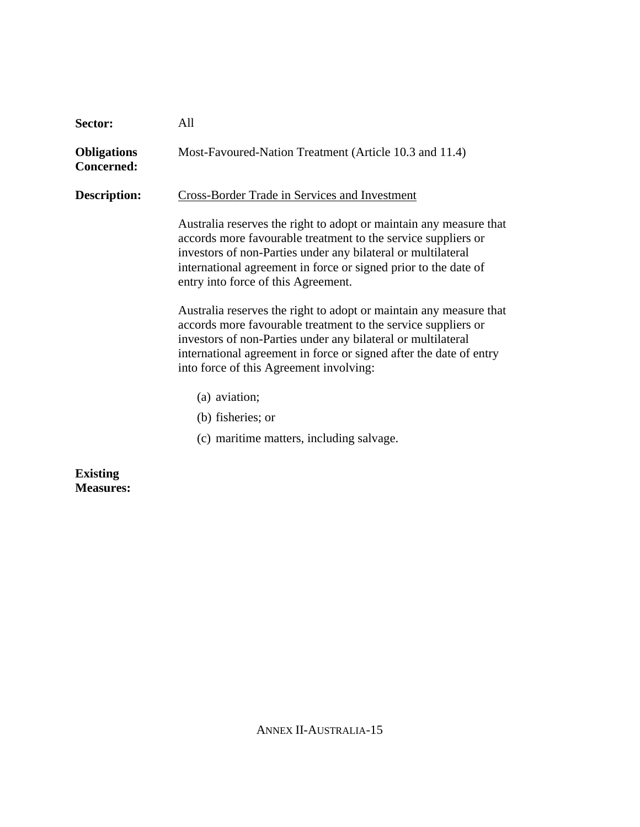| Sector:                                 | All                                                                                                                                                                                                                                                                                                                  |
|-----------------------------------------|----------------------------------------------------------------------------------------------------------------------------------------------------------------------------------------------------------------------------------------------------------------------------------------------------------------------|
| <b>Obligations</b><br><b>Concerned:</b> | Most-Favoured-Nation Treatment (Article 10.3 and 11.4)                                                                                                                                                                                                                                                               |
| <b>Description:</b>                     | <b>Cross-Border Trade in Services and Investment</b>                                                                                                                                                                                                                                                                 |
|                                         | Australia reserves the right to adopt or maintain any measure that<br>accords more favourable treatment to the service suppliers or<br>investors of non-Parties under any bilateral or multilateral<br>international agreement in force or signed prior to the date of<br>entry into force of this Agreement.        |
|                                         | Australia reserves the right to adopt or maintain any measure that<br>accords more favourable treatment to the service suppliers or<br>investors of non-Parties under any bilateral or multilateral<br>international agreement in force or signed after the date of entry<br>into force of this Agreement involving: |
|                                         | (a) aviation;                                                                                                                                                                                                                                                                                                        |
|                                         | (b) fisheries; or                                                                                                                                                                                                                                                                                                    |
|                                         | (c) maritime matters, including salvage.                                                                                                                                                                                                                                                                             |
|                                         |                                                                                                                                                                                                                                                                                                                      |

**Existing Measures:**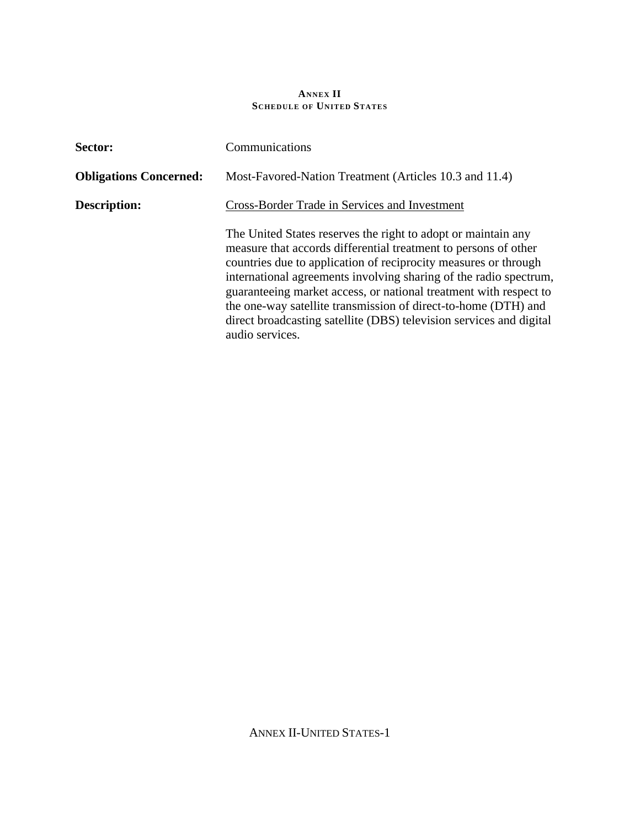## **ANNEX II SCHEDULE OF UNITED STATES**

| Sector:                       | Communications                                                                                                                                                                                                                                                                                                                                                                                                                                                                                            |  |
|-------------------------------|-----------------------------------------------------------------------------------------------------------------------------------------------------------------------------------------------------------------------------------------------------------------------------------------------------------------------------------------------------------------------------------------------------------------------------------------------------------------------------------------------------------|--|
| <b>Obligations Concerned:</b> | Most-Favored-Nation Treatment (Articles 10.3 and 11.4)                                                                                                                                                                                                                                                                                                                                                                                                                                                    |  |
| Description:                  | <b>Cross-Border Trade in Services and Investment</b>                                                                                                                                                                                                                                                                                                                                                                                                                                                      |  |
|                               | The United States reserves the right to adopt or maintain any<br>measure that accords differential treatment to persons of other<br>countries due to application of reciprocity measures or through<br>international agreements involving sharing of the radio spectrum,<br>guaranteeing market access, or national treatment with respect to<br>the one-way satellite transmission of direct-to-home (DTH) and<br>direct broadcasting satellite (DBS) television services and digital<br>audio services. |  |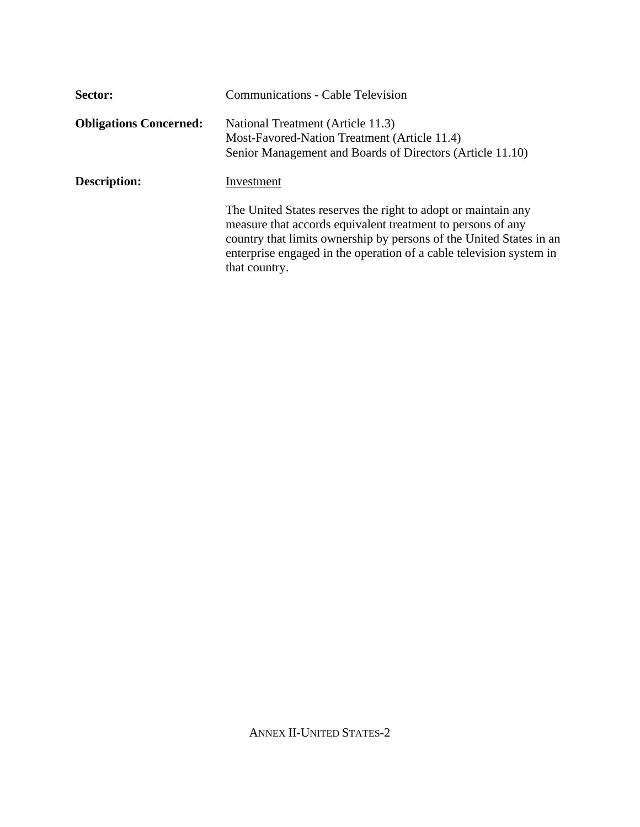| Sector:                       | <b>Communications - Cable Television</b>                                                                                                                                                                                                                                                    |
|-------------------------------|---------------------------------------------------------------------------------------------------------------------------------------------------------------------------------------------------------------------------------------------------------------------------------------------|
| <b>Obligations Concerned:</b> | National Treatment (Article 11.3)<br>Most-Favored-Nation Treatment (Article 11.4)<br>Senior Management and Boards of Directors (Article 11.10)                                                                                                                                              |
| <b>Description:</b>           | Investment                                                                                                                                                                                                                                                                                  |
|                               | The United States reserves the right to adopt or maintain any<br>measure that accords equivalent treatment to persons of any<br>country that limits ownership by persons of the United States in an<br>enterprise engaged in the operation of a cable television system in<br>that country. |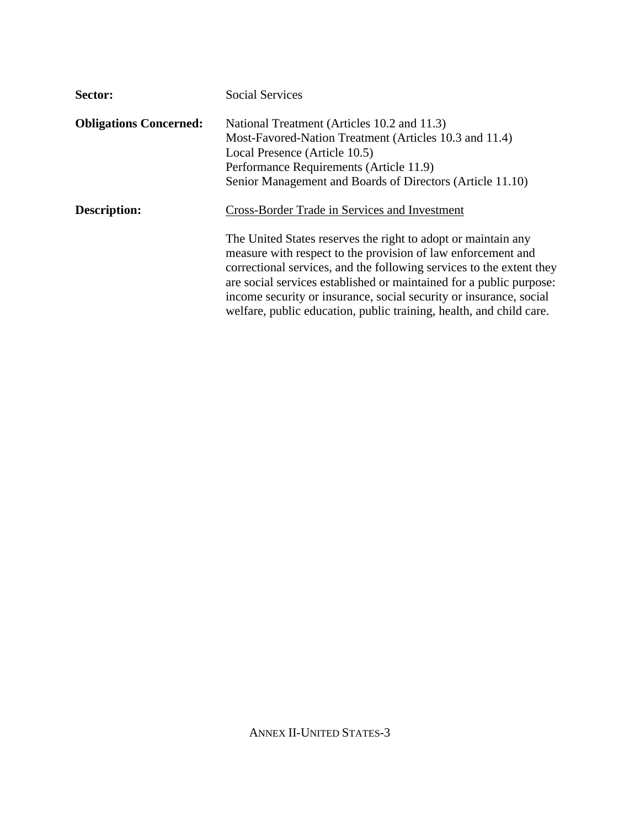| Sector:                       | <b>Social Services</b>                                                                                                                                                                                                                                                                                                                                                                                                                                                     |
|-------------------------------|----------------------------------------------------------------------------------------------------------------------------------------------------------------------------------------------------------------------------------------------------------------------------------------------------------------------------------------------------------------------------------------------------------------------------------------------------------------------------|
| <b>Obligations Concerned:</b> | National Treatment (Articles 10.2 and 11.3)<br>Most-Favored-Nation Treatment (Articles 10.3 and 11.4)<br>Local Presence (Article 10.5)<br>Performance Requirements (Article 11.9)<br>Senior Management and Boards of Directors (Article 11.10)                                                                                                                                                                                                                             |
| <b>Description:</b>           | Cross-Border Trade in Services and Investment<br>The United States reserves the right to adopt or maintain any<br>measure with respect to the provision of law enforcement and<br>correctional services, and the following services to the extent they<br>are social services established or maintained for a public purpose:<br>income security or insurance, social security or insurance, social<br>welfare, public education, public training, health, and child care. |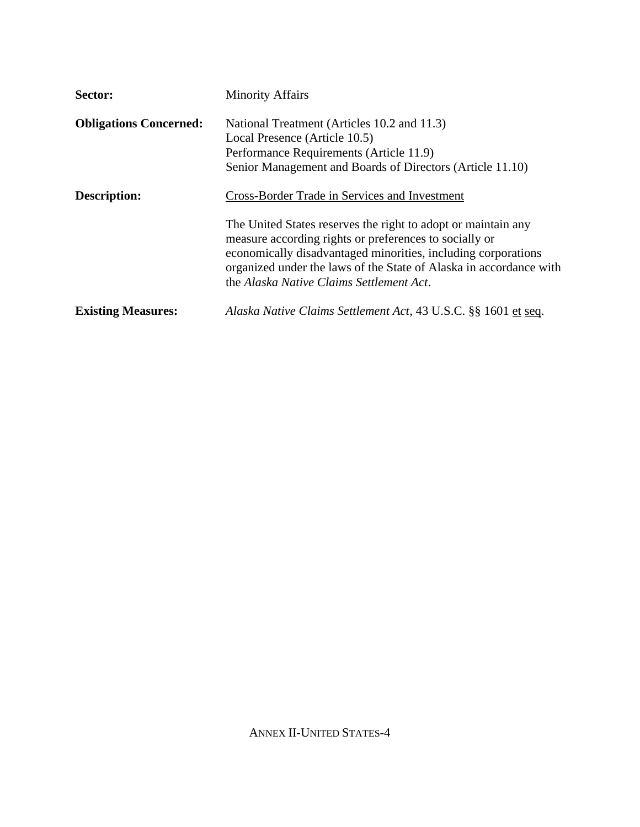| Sector:                       | <b>Minority Affairs</b>                                                                                                                                                                                                                                                                                    |
|-------------------------------|------------------------------------------------------------------------------------------------------------------------------------------------------------------------------------------------------------------------------------------------------------------------------------------------------------|
| <b>Obligations Concerned:</b> | National Treatment (Articles 10.2 and 11.3)<br>Local Presence (Article 10.5)<br>Performance Requirements (Article 11.9)<br>Senior Management and Boards of Directors (Article 11.10)                                                                                                                       |
| Description:                  | <b>Cross-Border Trade in Services and Investment</b>                                                                                                                                                                                                                                                       |
|                               | The United States reserves the right to adopt or maintain any<br>measure according rights or preferences to socially or<br>economically disadvantaged minorities, including corporations<br>organized under the laws of the State of Alaska in accordance with<br>the Alaska Native Claims Settlement Act. |
| <b>Existing Measures:</b>     | Alaska Native Claims Settlement Act, 43 U.S.C. §§ 1601 et seq.                                                                                                                                                                                                                                             |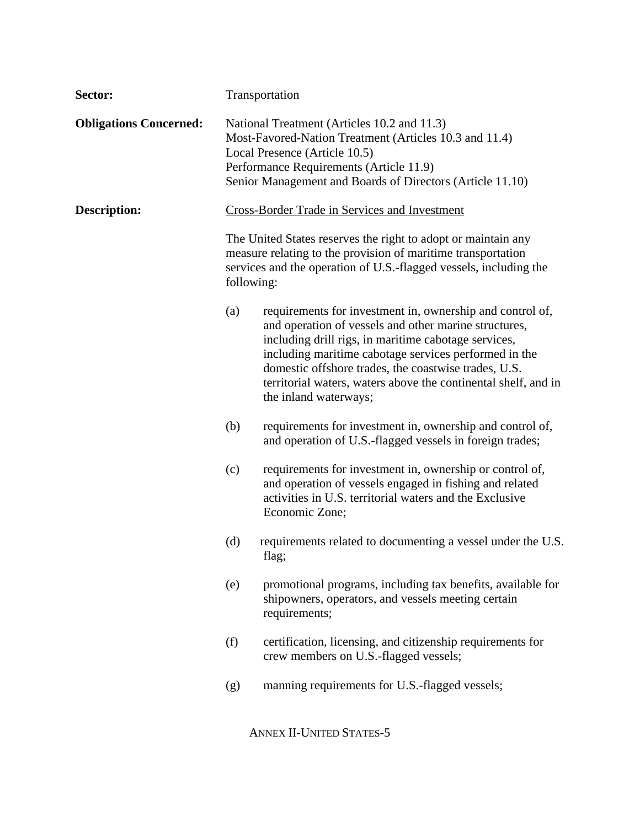| Sector:                       | Transportation |                                                                                                                                                                                                                                                                                                                                                                                        |
|-------------------------------|----------------|----------------------------------------------------------------------------------------------------------------------------------------------------------------------------------------------------------------------------------------------------------------------------------------------------------------------------------------------------------------------------------------|
| <b>Obligations Concerned:</b> |                | National Treatment (Articles 10.2 and 11.3)<br>Most-Favored-Nation Treatment (Articles 10.3 and 11.4)<br>Local Presence (Article 10.5)<br>Performance Requirements (Article 11.9)<br>Senior Management and Boards of Directors (Article 11.10)                                                                                                                                         |
| Description:                  |                | <b>Cross-Border Trade in Services and Investment</b>                                                                                                                                                                                                                                                                                                                                   |
|                               | following:     | The United States reserves the right to adopt or maintain any<br>measure relating to the provision of maritime transportation<br>services and the operation of U.S.-flagged vessels, including the                                                                                                                                                                                     |
|                               | (a)            | requirements for investment in, ownership and control of,<br>and operation of vessels and other marine structures,<br>including drill rigs, in maritime cabotage services,<br>including maritime cabotage services performed in the<br>domestic offshore trades, the coastwise trades, U.S.<br>territorial waters, waters above the continental shelf, and in<br>the inland waterways; |
|                               | (b)            | requirements for investment in, ownership and control of,<br>and operation of U.S.-flagged vessels in foreign trades;                                                                                                                                                                                                                                                                  |
|                               | (c)            | requirements for investment in, ownership or control of,<br>and operation of vessels engaged in fishing and related<br>activities in U.S. territorial waters and the Exclusive<br>Economic Zone;                                                                                                                                                                                       |
|                               | (d)            | requirements related to documenting a vessel under the U.S.<br>flag;                                                                                                                                                                                                                                                                                                                   |
|                               | (e)            | promotional programs, including tax benefits, available for<br>shipowners, operators, and vessels meeting certain<br>requirements;                                                                                                                                                                                                                                                     |
|                               | (f)            | certification, licensing, and citizenship requirements for<br>crew members on U.S.-flagged vessels;                                                                                                                                                                                                                                                                                    |
|                               | (g)            | manning requirements for U.S.-flagged vessels;                                                                                                                                                                                                                                                                                                                                         |
|                               |                | <b>ANNEX II-UNITED STATES-5</b>                                                                                                                                                                                                                                                                                                                                                        |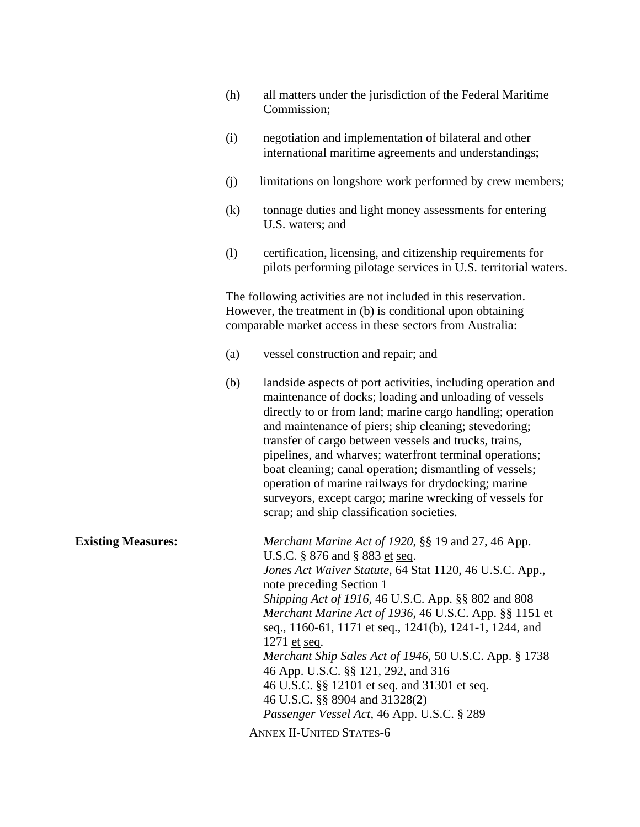|                           | (h) | all matters under the jurisdiction of the Federal Maritime<br>Commission;                                                                                                                                                                                                                                                                                                                                                                                                                                                                                                                                                                   |
|---------------------------|-----|---------------------------------------------------------------------------------------------------------------------------------------------------------------------------------------------------------------------------------------------------------------------------------------------------------------------------------------------------------------------------------------------------------------------------------------------------------------------------------------------------------------------------------------------------------------------------------------------------------------------------------------------|
|                           | (i) | negotiation and implementation of bilateral and other<br>international maritime agreements and understandings;                                                                                                                                                                                                                                                                                                                                                                                                                                                                                                                              |
|                           | (j) | limitations on longshore work performed by crew members;                                                                                                                                                                                                                                                                                                                                                                                                                                                                                                                                                                                    |
|                           | (k) | tonnage duties and light money assessments for entering<br>U.S. waters; and                                                                                                                                                                                                                                                                                                                                                                                                                                                                                                                                                                 |
|                           | (1) | certification, licensing, and citizenship requirements for<br>pilots performing pilotage services in U.S. territorial waters.                                                                                                                                                                                                                                                                                                                                                                                                                                                                                                               |
|                           |     | The following activities are not included in this reservation.<br>However, the treatment in (b) is conditional upon obtaining<br>comparable market access in these sectors from Australia:                                                                                                                                                                                                                                                                                                                                                                                                                                                  |
|                           | (a) | vessel construction and repair; and                                                                                                                                                                                                                                                                                                                                                                                                                                                                                                                                                                                                         |
|                           | (b) | landside aspects of port activities, including operation and<br>maintenance of docks; loading and unloading of vessels<br>directly to or from land; marine cargo handling; operation<br>and maintenance of piers; ship cleaning; stevedoring;<br>transfer of cargo between vessels and trucks, trains,<br>pipelines, and wharves; waterfront terminal operations;<br>boat cleaning; canal operation; dismantling of vessels;<br>operation of marine railways for drydocking; marine<br>surveyors, except cargo; marine wrecking of vessels for<br>scrap; and ship classification societies.                                                 |
| <b>Existing Measures:</b> |     | Merchant Marine Act of 1920, §§ 19 and 27, 46 App.<br>U.S.C. § 876 and § 883 et seq.<br>Jones Act Waiver Statute, 64 Stat 1120, 46 U.S.C. App.,<br>note preceding Section 1<br>Shipping Act of 1916, 46 U.S.C. App. §§ 802 and 808<br>Merchant Marine Act of 1936, 46 U.S.C. App. §§ 1151 et<br>seq., 1160-61, 1171 et seq., 1241(b), 1241-1, 1244, and<br>1271 et seq.<br>Merchant Ship Sales Act of 1946, 50 U.S.C. App. § 1738<br>46 App. U.S.C. §§ 121, 292, and 316<br>46 U.S.C. §§ 12101 et seq. and 31301 et seq.<br>46 U.S.C. §§ 8904 and 31328(2)<br>Passenger Vessel Act, 46 App. U.S.C. § 289<br><b>ANNEX II-UNITED STATES-6</b> |
|                           |     |                                                                                                                                                                                                                                                                                                                                                                                                                                                                                                                                                                                                                                             |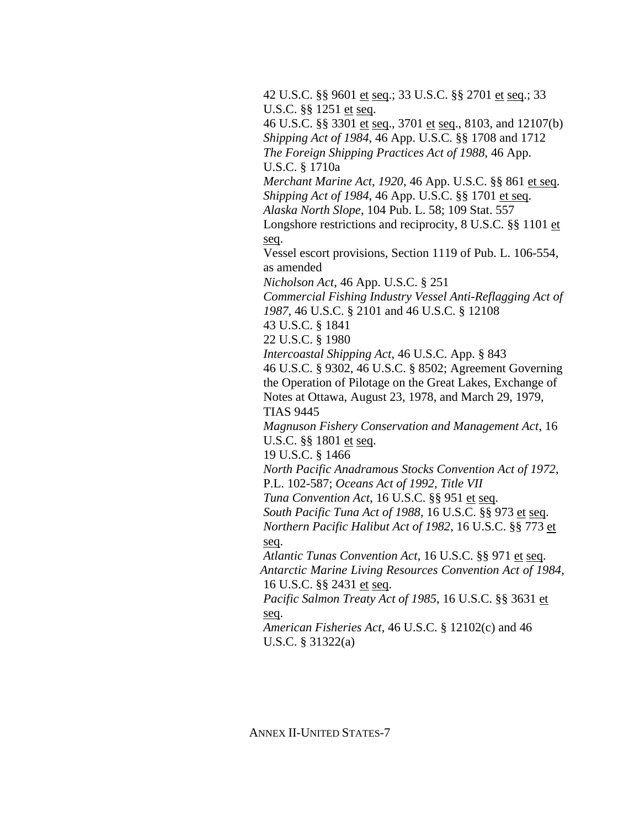42 U.S.C. §§ 9601 et seq.; 33 U.S.C. §§ 2701 et seq.; 33 U.S.C. §§ 1251 et seq.

46 U.S.C. §§ 3301 et seq., 3701 et seq., 8103, and 12107(b) *Shipping Act of 1984*, 46 App. U.S.C. §§ 1708 and 1712 *The Foreign Shipping Practices Act of 1988*, 46 App. U.S.C. § 1710a

*Merchant Marine Act, 1920*, 46 App. U.S.C. §§ 861 et seq. *Shipping Act of 1984*, 46 App. U.S.C. §§ 1701 et seq. *Alaska North Slope*, 104 Pub. L. 58; 109 Stat. 557

Longshore restrictions and reciprocity, 8 U.S.C. §§ 1101 et seq.

Vessel escort provisions, Section 1119 of Pub. L. 106-554, as amended

*Nicholson Act*, 46 App. U.S.C. § 251

*Commercial Fishing Industry Vessel Anti-Reflagging Act of 1987*, 46 U.S.C. § 2101 and 46 U.S.C. § 12108

43 U.S.C. § 1841

22 U.S.C. § 1980

*Intercoastal Shipping Act*, 46 U.S.C. App. § 843

46 U.S.C. § 9302, 46 U.S.C. § 8502; Agreement Governing the Operation of Pilotage on the Great Lakes, Exchange of Notes at Ottawa, August 23, 1978, and March 29, 1979, TIAS 9445

*Magnuson Fishery Conservation and Management Act*, 16 U.S.C. §§ 1801 et seq.

19 U.S.C. § 1466

*North Pacific Anadramous Stocks Convention Act of 1972*, P.L. 102-587; *Oceans Act of 1992, Title VII*

*Tuna Convention Act*, 16 U.S.C. §§ 951 et seq.

*South Pacific Tuna Act of 1988*, 16 U.S.C. §§ 973 et seq.

*Northern Pacific Halibut Act of 1982*, 16 U.S.C. §§ 773 et seq.

*Atlantic Tunas Convention Act*, 16 U.S.C. §§ 971 et seq. *Antarctic Marine Living Resources Convention Act of 1984*, 16 U.S.C. §§ 2431 et seq.

*Pacific Salmon Treaty Act of 1985*, 16 U.S.C. §§ 3631 et seq.

*American Fisheries Act*, 46 U.S.C. § 12102(c) and 46 U.S.C. § 31322(a)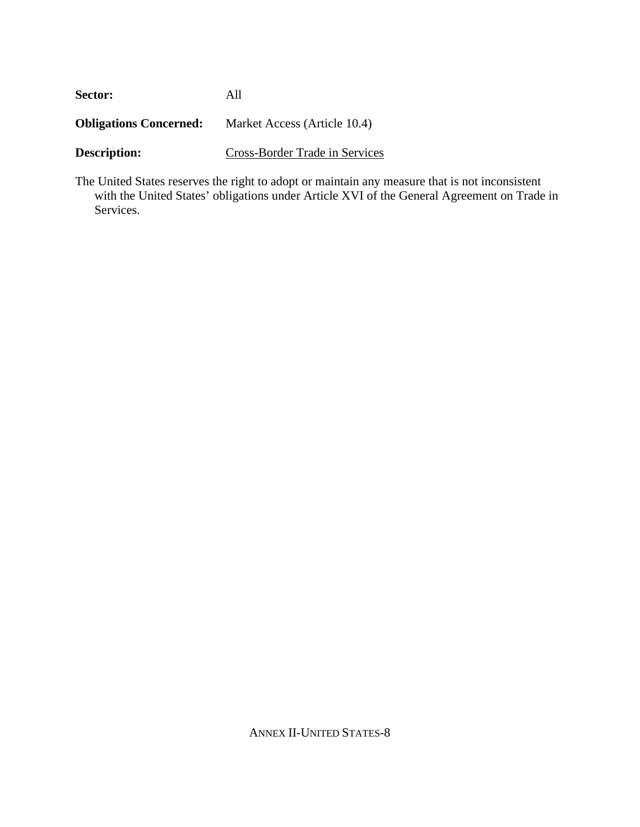| Sector:                       | All                            |
|-------------------------------|--------------------------------|
| <b>Obligations Concerned:</b> | Market Access (Article 10.4)   |
| <b>Description:</b>           | Cross-Border Trade in Services |

The United States reserves the right to adopt or maintain any measure that is not inconsistent with the United States' obligations under Article XVI of the General Agreement on Trade in Services.